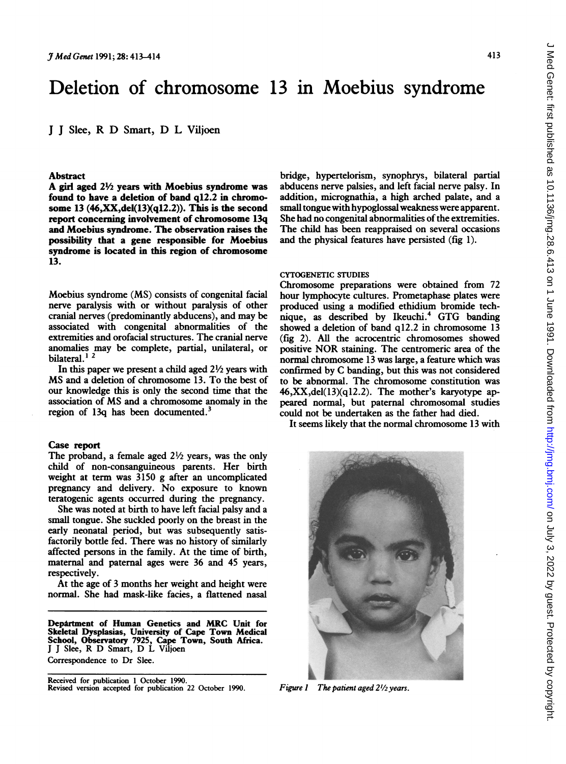# Deletion of chromosome 13 in Moebius syndrome

<sup>J</sup> <sup>J</sup> Slee, R D Smart, D L Viljoen

#### Abstract

A girl aged  $2\frac{1}{2}$  vears with Moebius syndrome was found to have a deletion of band q12.2 in chromosome 13  $(46, XX, del(13)(q12.2))$ . This is the second report concerning involvement of chromosome 13q and Moebius syndrome. The observation raises the possibility that a gene responsible for Moebius syndrome is located in this region of chromosome 13.

Moebius syndrome (MS) consists of congenital facial nerve paralysis with or without paralysis of other cranial nerves (predominantly abducens), and may be associated with congenital abnormalities of the extremities and orofacial structures. The cranial nerve anomalies may be complete, partial, unilateral, or bilateral.<sup>12</sup>

In this paper we present a child aged  $2\frac{1}{2}$  years with MS and <sup>a</sup> deletion of chromosome 13. To the best of our knowledge this is only the second time that the association of MS and <sup>a</sup> chromosome anomaly in the region of 13q has been documented.<sup>3</sup>

# Case report

The proband, a female aged  $2\frac{1}{2}$  years, was the only child of non-consanguineous parents. Her birth weight at term was 3150 g after an uncomplicated pregnancy and delivery. No exposure to known teratogenic agents occurred during the pregnancy.

She was noted at birth to have left facial palsy and a small tongue. She suckled poorly on the breast in the early neonatal period, but was subsequently satisfactorily bottle fed. There was no history of similarly affected persons in the family. At the time of birth, maternal and paternal ages were 36 and 45 years, respectively.

At the age of 3 months her weight and height were normal. She had mask-like facies, <sup>a</sup> flattened nasal

Department of Human Genetics and MRC Unit for Skeletal Dysplasias, University of Cape Town Medical School, Observatory 7925, Cape Town, South Africa. <sup>J</sup> <sup>J</sup> Slee, R D Smart, D L Vilioen Correspondence to Dr Slee.

Received for publication <sup>1</sup> October 1990. Revised version accepted for publication 22 October 1990. bridge, hypertelorism, synophrys, bilateral partial abducens nerve palsies, and left facial nerve palsy. In addition, micrognathia, a high arched palate, and a small tongue with hypoglossal weakness were apparent. She had no congenital abnormalities of the extremities. The child has been reappraised on several occasions and the physical features have persisted (fig 1).

# CYTOGENETIC STUDIES

Chromosome preparations were obtained from 72 hour lymphocyte cultures. Prometaphase plates were produced using a modified ethidium bromide technique, as described by Ikeuchi.<sup>4</sup> GTG banding showed a deletion of band q12.2 in chromosome 13 (fig 2). All the acrocentric chromosomes showed positive NOR staining. The centromeric area of the normal chromosome 13 was large, a feature which was confirmed by C banding, but this was not considered to be abnormal. The chromosome constitution was 46,XX,del(13)(q12.2). The mother's karyotype appeared normal, but paternal chromosomal studies could not be undertaken as the father had died.

It seems likely that the normal chromosome 13 with

..;1111I .....

Figure 1 The patient aged  $2\frac{1}{2}$  years.